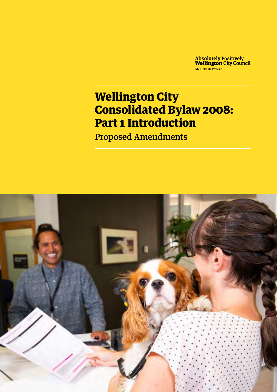**Absolutely Positively<br>Wellington City Council** Me Heke Ki Pôneke

# Wellington City Consolidated Bylaw 2008: Part 1 Introduction

Proposed Amendments

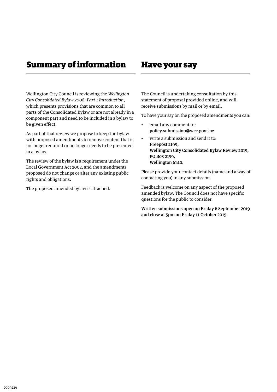### Summary of information Have your say

Wellington City Council is reviewing the *Wellington City Consolidated Bylaw 2008: Part 1 Introduction*, which presents provisions that are common to all parts of the Consolidated Bylaw or are not already in a component part and need to be included in a bylaw to be given effect.

As part of that review we propose to keep the bylaw with proposed amendments to remove content that is no longer required or no longer needs to be presented in a bylaw.

The review of the bylaw is a requirement under the Local Government Act 2002, and the amendments proposed do not change or alter any existing public rights and obligations.

The proposed amended bylaw is attached.

The Council is undertaking consultation by this statement of proposal provided online, and will receive submissions by mail or by email.

To have your say on the proposed amendments you can:

- email any comment to: [policy.submission@wcc.govt.nz](mailto:policy.submission@wcc.govt.nz)
- write a submission and send it to: Freepost 2199, Wellington City Consolidated Bylaw Review 2019, PO Box 2199, Wellington 6140.

Please provide your contact details (name and a way of contacting you) in any submission.

Feedback is welcome on any aspect of the proposed amended bylaw. The Council does not have specific questions for the public to consider.

Written submissions open on Friday 6 September 2019 and close at 5pm on Friday 11 October 2019.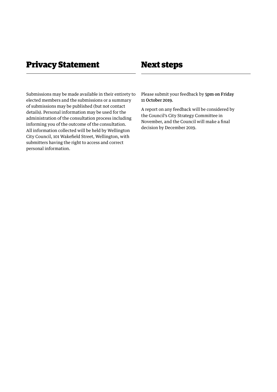### Privacy Statement Next steps

Submissions may be made available in their entirety to elected members and the submissions or a summary of submissions may be published (but not contact details). Personal information may be used for the administration of the consultation process including informing you of the outcome of the consultation. All information collected will be held by Wellington City Council, 101 Wakefield Street, Wellington, with submitters having the right to access and correct personal information.

Please submit your feedback by 5pm on Friday 11 October 2019.

A report on any feedback will be considered by the Council's City Strategy Committee in November, and the Council will make a final decision by December 2019.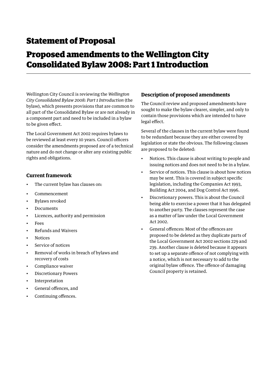## Statement of Proposal

## Proposed amendments to the Wellington City Consolidated Bylaw 2008: Part 1 Introduction

Wellington City Council is reviewing the *Wellington City Consolidated Bylaw 2008: Part 1 Introduction* (the bylaw), which presents provisions that are common to all part of the Consolidated Bylaw or are not already in a component part and need to be included in a bylaw to be given effect.

The Local Government Act 2002 requires bylaws to be reviewed at least every 10 years. Council officers consider the amendments proposed are of a technical nature and do not change or alter any existing public rights and obligations.

### **Current framework**

- The current bylaw has clauses on:
- Commencement
- Bylaws revoked
- Documents
- Licences, authority and permission
- **Fees**
- Refunds and Waivers
- **Notices**
- Service of notices
- Removal of works in breach of bylaws and recovery of costs
- Compliance waiver
- Discretionary Powers
- Interpretation
- General offences, and
- Continuing offences.

### **Description of proposed amendments**

The Council review and proposed amendments have sought to make the bylaw clearer, simpler, and only to contain those provisions which are intended to have legal effect.

Several of the clauses in the current bylaw were found to be redundant because they are either covered by legislation or state the obvious. The following clauses are proposed to be deleted:

- Notices. This clause is about writing to people and issuing notices and does not need to be in a bylaw.
- Service of notices. This clause is about how notices may be sent. This is covered in subject specific legislation, including the Companies Act 1993, Building Act 2004, and Dog Control Act 1996.
- Discretionary powers. This is about the Council being able to exercise a power that it has delegated to another party. The clauses represent the case as a matter of law under the Local Government Act 2002.
- General offences: Most of the offences are proposed to be deleted as they duplicate parts of the Local Government Act 2002 sections 229 and 239. Another clause is deleted because it appears to set up a separate offence of not complying with a notice, which is not necessary to add to the original bylaw offence. The offence of damaging Council property is retained.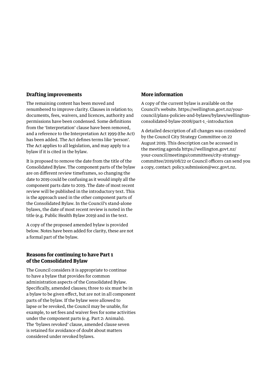#### **Drafting improvements**

The remaining content has been moved and renumbered to improve clarity. Clauses in relation to; documents, fees, waivers, and licences, authority and permissions have been condensed. Some definitions from the 'Interpretation' clause have been removed, and a reference to the Interpretation Act 1999 (the Act) has been added. The Act defines terms like 'person'. The Act applies to all legislation, and may apply to a bylaw if it is cited in the bylaw.

It is proposed to remove the date from the title of the Consolidated Bylaw. The component parts of the bylaw are on different review timeframes, so changing the date to 2019 could be confusing as it would imply all the component parts date to 2019. The date of most recent review will be published in the introductory text. This is the approach used in the other component parts of the Consolidated Bylaw. In the Council's stand-alone bylaws, the date of most recent review is noted in the title (e.g. Public Health Bylaw 2019) and in the text.

A copy of the proposed amended bylaw is provided below. Notes have been added for clarity, these are not a formal part of the bylaw.

#### **Reasons for continuing to have Part 1 of the Consolidated Bylaw**

The Council considers it is appropriate to continue to have a bylaw that provides for common administration aspects of the Consolidated Bylaw. Specifically, amended clauses; three to six must be in a bylaw to be given effect, but are not in all component parts of the bylaw. If the bylaw were allowed to lapse or be revoked, the Council may be unable, for example, to set fees and waiver fees for some activities under the component parts (e.g. Part 2: Animals). The 'bylaws revoked' clause, amended clause seven is retained for avoidance of doubt about matters considered under revoked bylaws.

#### **More information**

A copy of the current bylaw is available on the Council's website. [https://wellington.govt.nz/your](https://wellington.govt.nz/your-council/plans-policies-and-bylaws/bylaws/wellington-consolidated-bylaw-2008/part-1_-introduction)[council/plans-policies-and-bylaws/bylaws/wellington](https://wellington.govt.nz/your-council/plans-policies-and-bylaws/bylaws/wellington-consolidated-bylaw-2008/part-1_-introduction)[consolidated-bylaw-2008/part-1\\_-introduction](https://wellington.govt.nz/your-council/plans-policies-and-bylaws/bylaws/wellington-consolidated-bylaw-2008/part-1_-introduction)

A detailed description of all changes was considered by the Council City Strategy Committee on 22 August 2019. This description can be accessed in the meeting agenda [https://wellington.govt.nz/](https://wellington.govt.nz/your-council/meetings/committees/city-strategy-committee/2019/08/22) [your-council/meetings/committees/city-strategy](https://wellington.govt.nz/your-council/meetings/committees/city-strategy-committee/2019/08/22)[committee/2019/08/22](https://wellington.govt.nz/your-council/meetings/committees/city-strategy-committee/2019/08/22) or Council officers can send you a copy, contact: [policy.submission@wcc.govt.nz](mailto:policy.submission@wcc.govt.nz).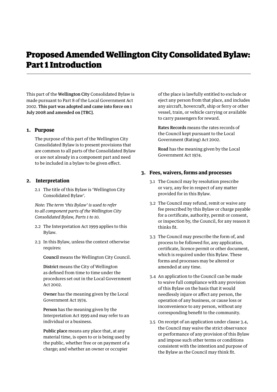### Proposed Amended Wellington City Consolidated Bylaw: Part 1 Introduction

This part of the Wellington City Consolidated Bylaw is made pursuant to Part 8 of the Local Government Act 2002. This part was adopted and came into force on 1 July 2008 and amended on [TBC].

#### **1. Purpose**

The purpose of this part of the Wellington City Consolidated Bylaw is to present provisions that are common to all parts of the Consolidated Bylaw or are not already in a component part and need to be included in a bylaw to be given effect.

#### **2. Interpretation**

2.1 The title of this Bylaw is 'Wellington City Consolidated Bylaw'.

*Note: The term 'this Bylaw' is used to refer to all component parts of the Wellington City Consolidated Bylaw, Parts 1 to 10.* 

- 2.2 The Interpretation Act 1999 applies to this Bylaw.
- 2.3 In this Bylaw, unless the context otherwise requires:

Council means the Wellington City Council.

District means the City of Wellington as defined from time to time under the procedures set out in the Local Government Act 2002.

Owner has the meaning given by the Local Government Act 1974.

Person has the meaning given by the Interpretation Act 1999 and may refer to an individual or a business.

Public place means any place that, at any material time, is open to or is being used by the public, whether free or on payment of a charge; and whether an owner or occupier

of the place is lawfully entitled to exclude or eject any person from that place, and includes any aircraft, hovercraft, ship or ferry or other vessel, train, or vehicle carrying or available to carry passengers for reward.

Rates Records means the rates records of the Council kept pursuant to the Local Government (Rating) Act 2002.

Road has the meaning given by the Local Government Act 1974.

#### **3. Fees, waivers, forms and processes**

- 3.1 The Council may by resolution prescribe or vary, any fee in respect of any matter provided for in this Bylaw.
- 3.2 The Council may refund, remit or waive any fee prescribed by this Bylaw or charge payable for a certificate, authority, permit or consent, or inspection by, the Council, for any reason it thinks fit.
- 3.3 The Council may prescribe the form of, and process to be followed for, any application, certificate, licence permit or other document, which is required under this Bylaw. These forms and processes may be altered or amended at any time.
- 3.4 An application to the Council can be made to waive full compliance with any provision of this Bylaw on the basis that it would needlessly injure or affect any person, the operation of any business, or cause loss or inconvenience to any person, without any corresponding benefit to the community.
- 3.5 On receipt of an application under clause 3.4, the Council may waive the strict observance or performance of any provision of this Bylaw and impose such other terms or conditions consistent with the intention and purpose of the Bylaw as the Council may think fit.